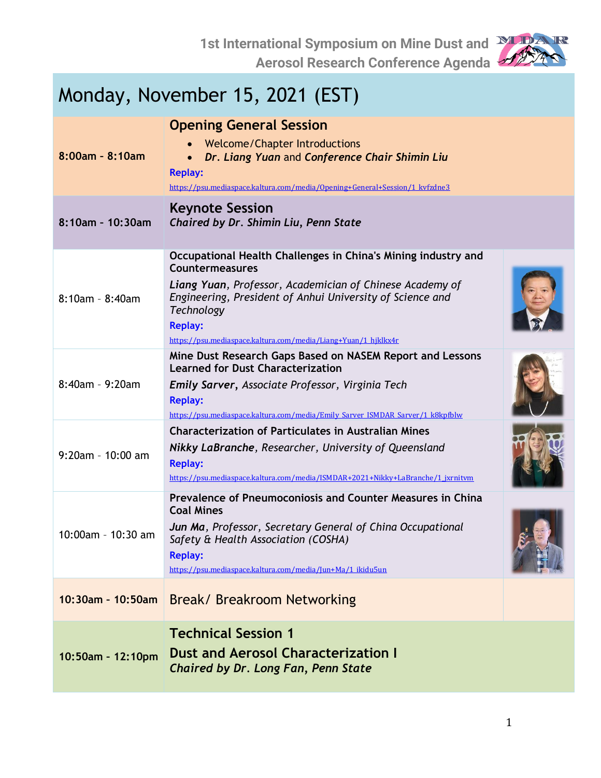

| Monday, November 15, 2021 (EST) |                                                                                                                                                                                                                                                                                                                           |  |
|---------------------------------|---------------------------------------------------------------------------------------------------------------------------------------------------------------------------------------------------------------------------------------------------------------------------------------------------------------------------|--|
| $8:00$ am - $8:10$ am           | <b>Opening General Session</b><br>Welcome/Chapter Introductions<br>Dr. Liang Yuan and Conference Chair Shimin Liu<br><b>Replay:</b><br>https://psu.mediaspace.kaltura.com/media/Opening+General+Session/1_kvfzdne3                                                                                                        |  |
| 8:10am - 10:30am                | <b>Keynote Session</b><br>Chaired by Dr. Shimin Liu, Penn State                                                                                                                                                                                                                                                           |  |
| $8:10am - 8:40am$               | Occupational Health Challenges in China's Mining industry and<br><b>Countermeasures</b><br>Liang Yuan, Professor, Academician of Chinese Academy of<br>Engineering, President of Anhui University of Science and<br><b>Technology</b><br><b>Replay:</b><br>https://psu.mediaspace.kaltura.com/media/Liang+Yuan/1 hjklkx4r |  |
| $8:40am - 9:20am$               | Mine Dust Research Gaps Based on NASEM Report and Lessons<br><b>Learned for Dust Characterization</b><br>Emily Sarver, Associate Professor, Virginia Tech<br><b>Replay:</b><br>https://psu.mediaspace.kaltura.com/media/Emily_Sarver_ISMDAR_Sarver/1_k8kpfblw                                                             |  |
| $9:20$ am - 10:00 am            | <b>Characterization of Particulates in Australian Mines</b><br>Nikky LaBranche, Researcher, University of Queensland<br><b>Replay:</b><br>https://psu.mediaspace.kaltura.com/media/ISMDAR+2021+Nikky+LaBranche/1 jxrnitvm                                                                                                 |  |
| 10:00am - 10:30 am              | Prevalence of Pneumoconiosis and Counter Measures in China<br><b>Coal Mines</b><br>Jun Ma, Professor, Secretary General of China Occupational<br>Safety & Health Association (COSHA)<br><b>Replay:</b><br>https://psu.mediaspace.kaltura.com/media/Jun+Ma/1 ikidu5un                                                      |  |
| 10:30am - 10:50am               | Break/ Breakroom Networking                                                                                                                                                                                                                                                                                               |  |
| 10:50am - 12:10pm               | <b>Technical Session 1</b><br><b>Dust and Aerosol Characterization I</b><br>Chaired by Dr. Long Fan, Penn State                                                                                                                                                                                                           |  |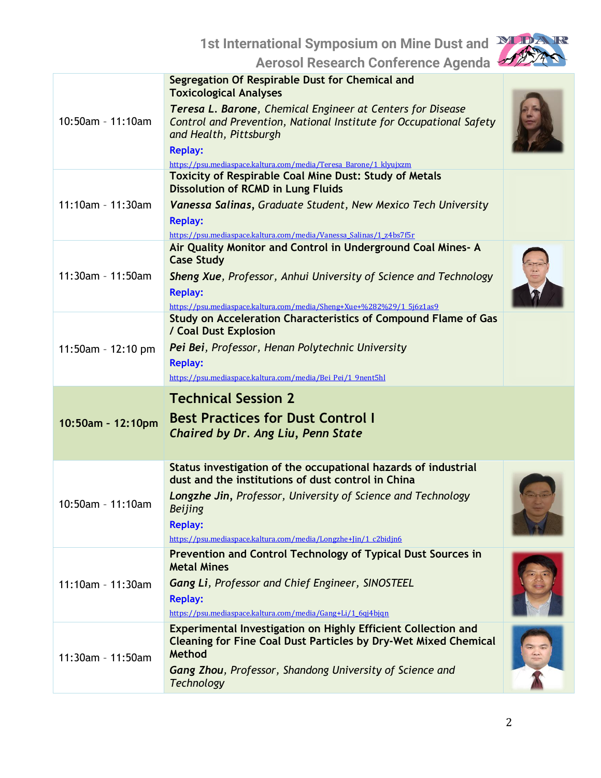**1st International Symposium on Mine Dust and** 



**Aerosol Research Conference Agenda**

| 10:50am - 11:10am  | Segregation Of Respirable Dust for Chemical and<br><b>Toxicological Analyses</b><br>Teresa L. Barone, Chemical Engineer at Centers for Disease<br>Control and Prevention, National Institute for Occupational Safety<br>and Health, Pittsburgh<br><b>Replay:</b><br>https://psu.mediaspace.kaltura.com/media/Teresa Barone/1 klyujxzm |  |
|--------------------|---------------------------------------------------------------------------------------------------------------------------------------------------------------------------------------------------------------------------------------------------------------------------------------------------------------------------------------|--|
| 11:10am - 11:30am  | <b>Toxicity of Respirable Coal Mine Dust: Study of Metals</b><br><b>Dissolution of RCMD in Lung Fluids</b><br>Vanessa Salinas, Graduate Student, New Mexico Tech University<br><b>Replay:</b><br>https://psu.mediaspace.kaltura.com/media/Vanessa Salinas/1 z4bs7f5r                                                                  |  |
| 11:30am - 11:50am  | Air Quality Monitor and Control in Underground Coal Mines- A<br><b>Case Study</b><br>Sheng Xue, Professor, Anhui University of Science and Technology<br><b>Replay:</b><br>https://psu.mediaspace.kaltura.com/media/Sheng+Xue+%282%29/1 5j6z1as9                                                                                      |  |
| 11:50am - 12:10 pm | Study on Acceleration Characteristics of Compound Flame of Gas<br>/ Coal Dust Explosion<br>Pei Bei, Professor, Henan Polytechnic University<br><b>Replay:</b><br>https://psu.mediaspace.kaltura.com/media/Bei Pei/1 9nent5hl                                                                                                          |  |
|                    | <b>Technical Session 2</b>                                                                                                                                                                                                                                                                                                            |  |
| 10:50am - 12:10pm  | <b>Best Practices for Dust Control I</b><br>Chaired by Dr. Ang Liu, Penn State                                                                                                                                                                                                                                                        |  |
| 10:50am - 11:10am  | Status investigation of the occupational hazards of industrial<br>dust and the institutions of dust control in China<br>Longzhe Jin, Professor, University of Science and Technology<br><b>Beijing</b><br><b>Replay:</b><br>https://psu.mediaspace.kaltura.com/media/Longzhe+Jin/1 c2bidjn6                                           |  |
| 11:10am - 11:30am  | Prevention and Control Technology of Typical Dust Sources in<br><b>Metal Mines</b><br><b>Gang Li, Professor and Chief Engineer, SINOSTEEL</b><br><b>Replay:</b><br>https://psu.mediaspace.kaltura.com/media/Gang+Li/1 6qj4bjqn                                                                                                        |  |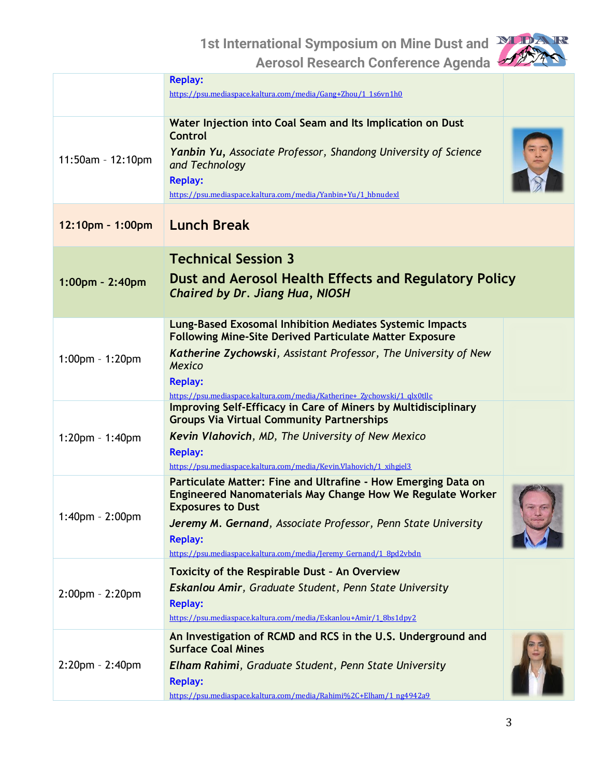

|                       | <b>Replay:</b><br>https://psu.mediaspace.kaltura.com/media/Gang+Zhou/1 1s6vn1h0                                                                                                                                                                                                                                         |  |
|-----------------------|-------------------------------------------------------------------------------------------------------------------------------------------------------------------------------------------------------------------------------------------------------------------------------------------------------------------------|--|
| 11:50am - 12:10pm     | Water Injection into Coal Seam and Its Implication on Dust<br><b>Control</b><br>Yanbin Yu, Associate Professor, Shandong University of Science<br>and Technology<br><b>Replay:</b><br>https://psu.mediaspace.kaltura.com/media/Yanbin+Yu/1 hbnudexl                                                                     |  |
| 12:10pm - 1:00pm      | <b>Lunch Break</b>                                                                                                                                                                                                                                                                                                      |  |
| 1:00pm - 2:40pm       | <b>Technical Session 3</b><br>Dust and Aerosol Health Effects and Regulatory Policy<br>Chaired by Dr. Jiang Hua, NIOSH                                                                                                                                                                                                  |  |
| $1:00$ pm - 1:20pm    | <b>Lung-Based Exosomal Inhibition Mediates Systemic Impacts</b><br><b>Following Mine-Site Derived Particulate Matter Exposure</b><br>Katherine Zychowski, Assistant Professor, The University of New<br><b>Mexico</b><br><b>Replay:</b><br>https://psu.mediaspace.kaltura.com/media/Katherine+ Zychowski/1 qlx0tllc     |  |
| $1:20$ pm - 1:40pm    | <b>Improving Self-Efficacy in Care of Miners by Multidisciplinary</b><br><b>Groups Via Virtual Community Partnerships</b><br><b>Kevin Vlahovich, MD, The University of New Mexico</b><br><b>Replay:</b><br>https://psu.mediaspace.kaltura.com/media/Kevin.Vlahovich/1 xihgjel3                                          |  |
| 1:40pm - 2:00pm       | Particulate Matter: Fine and Ultrafine - How Emerging Data on<br><b>Engineered Nanomaterials May Change How We Regulate Worker</b><br><b>Exposures to Dust</b><br>Jeremy M. Gernand, Associate Professor, Penn State University<br><b>Replay:</b><br>https://psu.mediaspace.kaltura.com/media/Jeremy Gernand/1 8pd2vbdn |  |
| $2:00$ pm - $2:20$ pm | <b>Toxicity of the Respirable Dust - An Overview</b><br><b>Eskanlou Amir, Graduate Student, Penn State University</b><br><b>Replay:</b><br>https://psu.mediaspace.kaltura.com/media/Eskanlou+Amir/1 8bs1dpy2                                                                                                            |  |
| $2:20$ pm - $2:40$ pm | An Investigation of RCMD and RCS in the U.S. Underground and<br><b>Surface Coal Mines</b><br>Elham Rahimi, Graduate Student, Penn State University<br><b>Replay:</b><br>https://psu.mediaspace.kaltura.com/media/Rahimi%2C+Elham/1 ng4942a9                                                                             |  |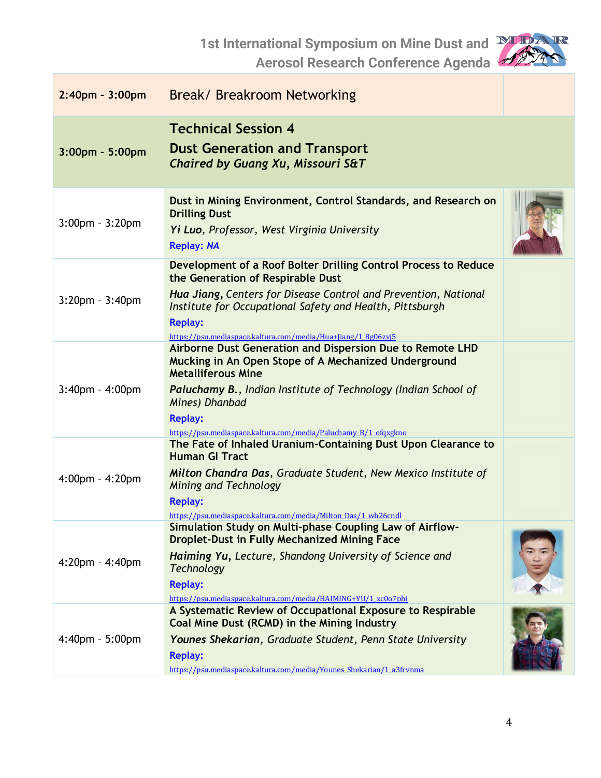**1st International Symposium on Mine Dust and** 

**Aerosol Research Conference Agenda**



| 2:40pm - 3:00pm       | <b>Break/ Breakroom Networking</b>                                                                                                                                                                                                                                                                                             |  |
|-----------------------|--------------------------------------------------------------------------------------------------------------------------------------------------------------------------------------------------------------------------------------------------------------------------------------------------------------------------------|--|
| $3:00$ pm - 5:00pm    | <b>Technical Session 4</b><br><b>Dust Generation and Transport</b><br>Chaired by Guang Xu, Missouri S&T                                                                                                                                                                                                                        |  |
| $3:00$ pm - $3:20$ pm | Dust in Mining Environment, Control Standards, and Research on<br><b>Drilling Dust</b><br>Yi Luo, Professor, West Virginia University<br><b>Replay: NA</b>                                                                                                                                                                     |  |
| $3:20$ pm - $3:40$ pm | Development of a Roof Bolter Drilling Control Process to Reduce<br>the Generation of Respirable Dust<br>Hua Jiang, Centers for Disease Control and Prevention, National<br>Institute for Occupational Safety and Health, Pittsburgh<br><b>Replay:</b><br>https://psu.mediaspace.kaltura.com/media/Hua+Jiang/1 8g06zvj5         |  |
| $3:40$ pm - $4:00$ pm | Airborne Dust Generation and Dispersion Due to Remote LHD<br>Mucking in An Open Stope of A Mechanized Underground<br><b>Metalliferous Mine</b><br><b>Paluchamy B., Indian Institute of Technology (Indian School of</b><br>Mines) Dhanbad<br><b>Replay:</b><br>https://psu.mediaspace.kaltura.com/media/Paluchamy B/1 ofqxgkno |  |
| $4:00$ pm - $4:20$ pm | The Fate of Inhaled Uranium-Containing Dust Upon Clearance to<br><b>Human GI Tract</b><br>Milton Chandra Das, Graduate Student, New Mexico Institute of<br><b>Mining and Technology</b><br><b>Replay:</b><br>https://psu.mediaspace.kaltura.com/media/Milton Das/1 wh26cndl                                                    |  |
| $4:20$ pm - $4:40$ pm | Simulation Study on Multi-phase Coupling Law of Airflow-<br><b>Droplet-Dust in Fully Mechanized Mining Face</b><br>Haiming Yu, Lecture, Shandong University of Science and<br><b>Technology</b><br><b>Replay:</b><br>https://psu.mediaspace.kaltura.com/media/HAIMING+YU/1 xc0o7phi                                            |  |
| 4:40pm - 5:00pm       | A Systematic Review of Occupational Exposure to Respirable<br>Coal Mine Dust (RCMD) in the Mining Industry<br>Younes Shekarian, Graduate Student, Penn State University<br><b>Replay:</b><br>https://psu.mediaspace.kaltura.com/media/Younes Shekarian/1 a3frvnma                                                              |  |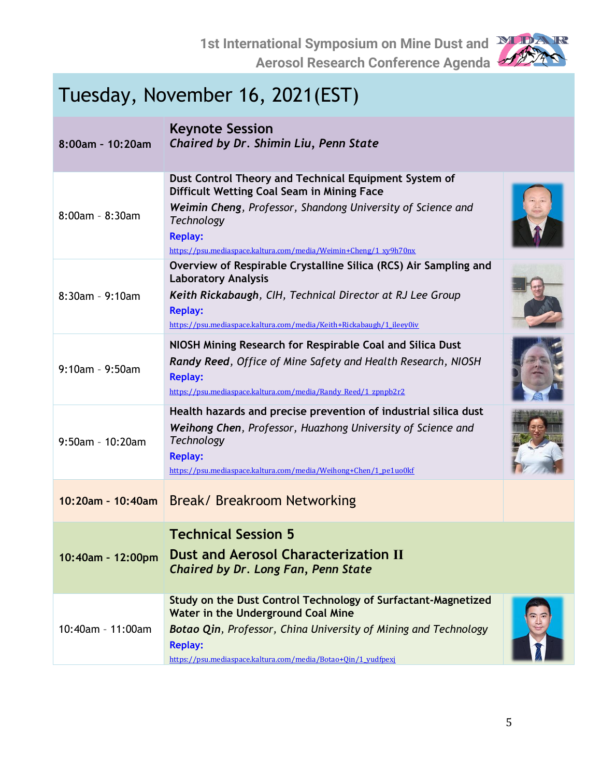

| Tuesday, November 16, 2021(EST) |                                                                                                                                                                                                                                                                               |  |
|---------------------------------|-------------------------------------------------------------------------------------------------------------------------------------------------------------------------------------------------------------------------------------------------------------------------------|--|
| 8:00am - 10:20am                | <b>Keynote Session</b><br>Chaired by Dr. Shimin Liu, Penn State                                                                                                                                                                                                               |  |
| $8:00$ am - $8:30$ am           | Dust Control Theory and Technical Equipment System of<br>Difficult Wetting Coal Seam in Mining Face<br>Weimin Cheng, Professor, Shandong University of Science and<br><b>Technology</b><br><b>Replay:</b><br>https://psu.mediaspace.kaltura.com/media/Weimin+Cheng/1 xy9h70nx |  |
| $8:30$ am - 9:10am              | Overview of Respirable Crystalline Silica (RCS) Air Sampling and<br><b>Laboratory Analysis</b><br>Keith Rickabaugh, CIH, Technical Director at RJ Lee Group<br><b>Replay:</b><br>https://psu.mediaspace.kaltura.com/media/Keith+Rickabaugh/1 ileey0iv                         |  |
| $9:10am - 9:50am$               | NIOSH Mining Research for Respirable Coal and Silica Dust<br><b>Randy Reed, Office of Mine Safety and Health Research, NIOSH</b><br><b>Replay:</b><br>https://psu.mediaspace.kaltura.com/media/Randy Reed/1 zpnpb2r2                                                          |  |
| $9:50$ am - 10:20am             | Health hazards and precise prevention of industrial silica dust<br>Weihong Chen, Professor, Huazhong University of Science and<br><b>Technology</b><br><b>Replay:</b><br>https://psu.mediaspace.kaltura.com/media/Weihong+Chen/1 pe1uo0kf                                     |  |
| 10:20am - 10:40am               | Break/ Breakroom Networking                                                                                                                                                                                                                                                   |  |
| 10:40am - 12:00pm               | <b>Technical Session 5</b><br><b>Dust and Aerosol Characterization II</b><br>Chaired by Dr. Long Fan, Penn State                                                                                                                                                              |  |
| 10:40am - 11:00am               | Study on the Dust Control Technology of Surfactant-Magnetized<br>Water in the Underground Coal Mine<br><b>Botao Qin, Professor, China University of Mining and Technology</b><br><b>Replay:</b><br>https://psu.mediaspace.kaltura.com/media/Botao+Oin/1 yudfpexi              |  |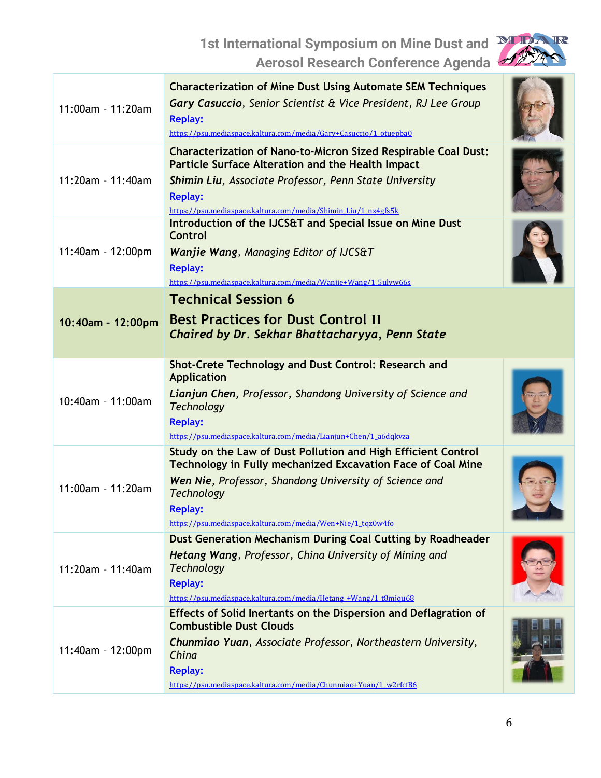

| 11:00am - 11:20am | <b>Characterization of Mine Dust Using Automate SEM Techniques</b><br>Gary Casuccio, Senior Scientist & Vice President, RJ Lee Group<br><b>Replay:</b><br>https://psu.mediaspace.kaltura.com/media/Gary+Casuccio/1 otuepba0                                                                         |  |
|-------------------|-----------------------------------------------------------------------------------------------------------------------------------------------------------------------------------------------------------------------------------------------------------------------------------------------------|--|
| 11:20am - 11:40am | <b>Characterization of Nano-to-Micron Sized Respirable Coal Dust:</b><br><b>Particle Surface Alteration and the Health Impact</b><br>Shimin Liu, Associate Professor, Penn State University<br><b>Replay:</b><br>https://psu.mediaspace.kaltura.com/media/Shimin Liu/1 nx4gfs5k                     |  |
| 11:40am - 12:00pm | Introduction of the IJCS&T and Special Issue on Mine Dust<br><b>Control</b><br><b>Wanjie Wang, Managing Editor of IJCS&amp;T</b><br><b>Replay:</b><br>https://psu.mediaspace.kaltura.com/media/Wanjie+Wang/1 5ulvw66s                                                                               |  |
| 10:40am - 12:00pm | <b>Technical Session 6</b><br><b>Best Practices for Dust Control II</b><br>Chaired by Dr. Sekhar Bhattacharyya, Penn State                                                                                                                                                                          |  |
| 10:40am - 11:00am | Shot-Crete Technology and Dust Control: Research and<br>Application<br>Lianjun Chen, Professor, Shandong University of Science and<br><b>Technology</b><br><b>Replay:</b><br>https://psu.mediaspace.kaltura.com/media/Lianjun+Chen/1 a6dqkvza                                                       |  |
| 11:00am - 11:20am | Study on the Law of Dust Pollution and High Efficient Control<br><b>Technology in Fully mechanized Excavation Face of Coal Mine</b><br>Wen Nie, Professor, Shandong University of Science and<br><b>Technology</b><br><b>Replay:</b><br>https://psu.mediaspace.kaltura.com/media/Wen+Nie/1 tqz0w4fo |  |
| 11:20am - 11:40am | Dust Generation Mechanism During Coal Cutting by Roadheader<br>Hetang Wang, Professor, China University of Mining and<br><b>Technology</b><br><b>Replay:</b><br>https://psu.mediaspace.kaltura.com/media/Hetang +Wang/1 t8mjqu68                                                                    |  |
| 11:40am - 12:00pm | Effects of Solid Inertants on the Dispersion and Deflagration of<br><b>Combustible Dust Clouds</b><br>Chunmiao Yuan, Associate Professor, Northeastern University,<br>China<br><b>Replay:</b><br>https://psu.mediaspace.kaltura.com/media/Chunmiao+Yuan/1 w2rfcf86                                  |  |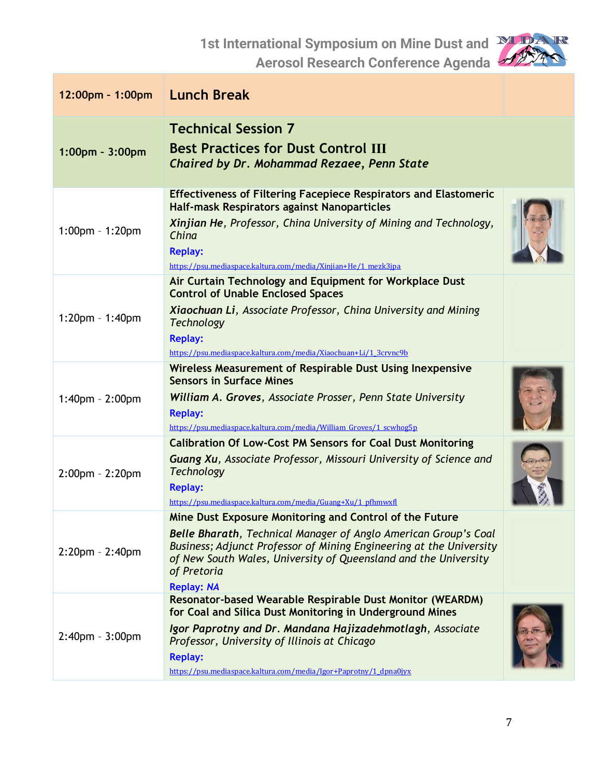

| 12:00pm - 1:00pm      | <b>Lunch Break</b>                                                                                                                                                                                                                                                                                                        |  |
|-----------------------|---------------------------------------------------------------------------------------------------------------------------------------------------------------------------------------------------------------------------------------------------------------------------------------------------------------------------|--|
| 1:00pm - 3:00pm       | <b>Technical Session 7</b><br><b>Best Practices for Dust Control III</b><br>Chaired by Dr. Mohammad Rezaee, Penn State                                                                                                                                                                                                    |  |
| 1:00pm - 1:20pm       | <b>Effectiveness of Filtering Facepiece Respirators and Elastomeric</b><br>Half-mask Respirators against Nanoparticles<br>Xinjian He, Professor, China University of Mining and Technology,<br>China<br><b>Replay:</b><br>https://psu.mediaspace.kaltura.com/media/Xinjian+He/1 mezk3jpa                                  |  |
| 1:20pm - 1:40pm       | Air Curtain Technology and Equipment for Workplace Dust<br><b>Control of Unable Enclosed Spaces</b><br>Xiaochuan Li, Associate Professor, China University and Mining<br><b>Technology</b><br><b>Replay:</b><br>https://psu.mediaspace.kaltura.com/media/Xiaochuan+Li/1_3crvnc9b                                          |  |
| $1:40$ pm - $2:00$ pm | Wireless Measurement of Respirable Dust Using Inexpensive<br><b>Sensors in Surface Mines</b><br>William A. Groves, Associate Prosser, Penn State University<br><b>Replay:</b><br>https://psu.mediaspace.kaltura.com/media/William_Groves/1_scwhog5p                                                                       |  |
| $2:00$ pm - $2:20$ pm | <b>Calibration Of Low-Cost PM Sensors for Coal Dust Monitoring</b><br><b>Guang Xu, Associate Professor, Missouri University of Science and</b><br><b>Technology</b><br><b>Replay:</b><br>https://psu.mediaspace.kaltura.com/media/Guang+Xu/1 pfhmwxfl                                                                     |  |
| $2:20$ pm - $2:40$ pm | Mine Dust Exposure Monitoring and Control of the Future<br><b>Belle Bharath, Technical Manager of Anglo American Group's Coal</b><br>Business; Adjunct Professor of Mining Engineering at the University<br>of New South Wales, University of Queensland and the University<br>of Pretoria<br><b>Replay: NA</b>           |  |
| $2:40$ pm - $3:00$ pm | Resonator-based Wearable Respirable Dust Monitor (WEARDM)<br>for Coal and Silica Dust Monitoring in Underground Mines<br>Igor Paprotny and Dr. Mandana Hajizadehmotlagh, Associate<br>Professor, University of Illinois at Chicago<br><b>Replay:</b><br>https://psu.mediaspace.kaltura.com/media/Igor+Paprotny/1 dpna0jyx |  |